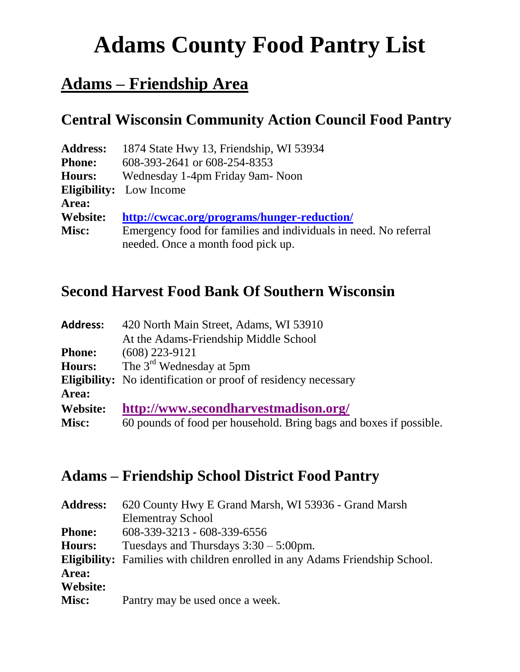# **Adams County Food Pantry List**

## **Adams – Friendship Area**

#### **Central Wisconsin Community Action Council Food Pantry**

| <b>Address:</b> | 1874 State Hwy 13, Friendship, WI 53934                          |
|-----------------|------------------------------------------------------------------|
| <b>Phone:</b>   | 608-393-2641 or 608-254-8353                                     |
| Hours:          | Wednesday 1-4pm Friday 9am - Noon                                |
|                 | <b>Eligibility:</b> Low Income                                   |
| Area:           |                                                                  |
| Website:        | http://cwcac.org/programs/hunger-reduction/                      |
| Misc:           | Emergency food for families and individuals in need. No referral |
|                 | needed. Once a month food pick up.                               |

#### **Second Harvest Food Bank Of Southern Wisconsin**

| <b>Address:</b> | 420 North Main Street, Adams, WI 53910                                |
|-----------------|-----------------------------------------------------------------------|
|                 | At the Adams-Friendship Middle School                                 |
| <b>Phone:</b>   | $(608)$ 223-9121                                                      |
| <b>Hours:</b>   | The $3rd$ Wednesday at 5pm                                            |
|                 | <b>Eligibility:</b> No identification or proof of residency necessary |
| Area:           |                                                                       |
| Website:        | http://www.secondharvestmadison.org/                                  |
| Misc:           | 60 pounds of food per household. Bring bags and boxes if possible.    |
|                 |                                                                       |

#### **Adams – Friendship School District Food Pantry**

| <b>Address:</b> | 620 County Hwy E Grand Marsh, WI 53936 - Grand Marsh                                |
|-----------------|-------------------------------------------------------------------------------------|
|                 | <b>Elementray School</b>                                                            |
| <b>Phone:</b>   | 608-339-3213 - 608-339-6556                                                         |
| <b>Hours:</b>   | Tuesdays and Thursdays $3:30 - 5:00$ pm.                                            |
|                 | <b>Eligibility:</b> Families with children enrolled in any Adams Friendship School. |
| Area:           |                                                                                     |
| <b>Website:</b> |                                                                                     |
| Misc:           | Pantry may be used once a week.                                                     |